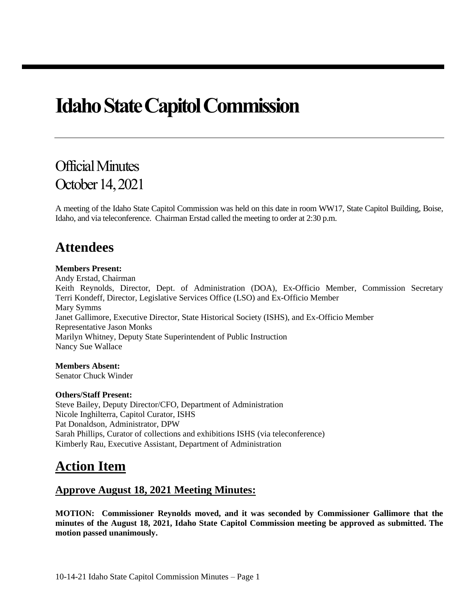# **Idaho State Capitol Commission**

## Official Minutes October 14, 2021

A meeting of the Idaho State Capitol Commission was held on this date in room WW17, State Capitol Building, Boise, Idaho, and via teleconference. Chairman Erstad called the meeting to order at 2:30 p.m.

### **Attendees**

#### **Members Present:**

Andy Erstad, Chairman Keith Reynolds, Director, Dept. of Administration (DOA), Ex-Officio Member, Commission Secretary Terri Kondeff, Director, Legislative Services Office (LSO) and Ex-Officio Member Mary Symms Janet Gallimore, Executive Director, State Historical Society (ISHS), and Ex-Officio Member Representative Jason Monks Marilyn Whitney, Deputy State Superintendent of Public Instruction Nancy Sue Wallace

**Members Absent:**  Senator Chuck Winder

#### **Others/Staff Present:**

Steve Bailey, Deputy Director/CFO, Department of Administration Nicole Inghilterra, Capitol Curator, ISHS Pat Donaldson, Administrator, DPW Sarah Phillips, Curator of collections and exhibitions ISHS (via teleconference) Kimberly Rau, Executive Assistant, Department of Administration

### **Action Item**

#### **Approve August 18, 2021 Meeting Minutes:**

**MOTION: Commissioner Reynolds moved, and it was seconded by Commissioner Gallimore that the minutes of the August 18, 2021, Idaho State Capitol Commission meeting be approved as submitted. The motion passed unanimously.**